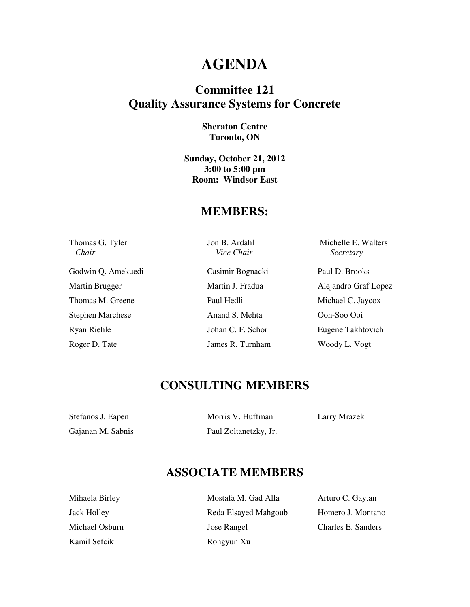## **AGENDA**

### **Committee 121 Quality Assurance Systems for Concrete**

#### **Sheraton Centre Toronto, ON**

**Sunday, October 21, 2012 3:00 to 5:00 pm Room: Windsor East** 

#### **MEMBERS:**

| Thomas G. Tyler<br>Chair | Jon B. Ardahl<br>Vice Chair | Michelle E. Walters<br>Secretary |
|--------------------------|-----------------------------|----------------------------------|
| Godwin Q. Amekuedi       | Casimir Bognacki            | Paul D. Brooks                   |
| Martin Brugger           | Martin J. Fradua            | Alejandro Graf Lopez             |
| Thomas M. Greene         | Paul Hedli                  | Michael C. Jaycox                |
| <b>Stephen Marchese</b>  | Anand S. Mehta              | Oon-Soo Ooi                      |
| Ryan Riehle              | Johan C. F. Schor           | Eugene Takhtovich                |
| Roger D. Tate            | James R. Turnham            | Woody L. Vogt                    |

### **CONSULTING MEMBERS**

| Stefanos J. Eapen | Morris V. Huffman     |
|-------------------|-----------------------|
| Gajanan M. Sabnis | Paul Zoltanetzky, Jr. |

Morris V. Huffman Larry Mrazek

### **ASSOCIATE MEMBERS**

| Mihaela Birley     |
|--------------------|
| <b>Jack Holley</b> |
| Michael Osburn     |
| Kamil Sefcik       |

Mostafa M. Gad Alla Arturo C. Gaytan Reda Elsayed Mahgoub Homero J. Montano Jose Rangel Charles E. Sanders Rongyun Xu